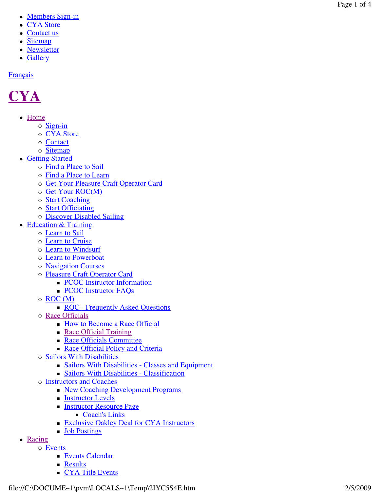- Members Sign-in
- CYA Store
- Contact us
- Sitemap
- Newsletter
- Gallery

## **Français**

## **CYA**

- Home
	- o Sign-in
	- o CYA Store
	- o Contact
	- o Sitemap
- Getting Started
	- o Find a Place to Sail
	- o Find a Place to Learn
	- o Get Your Pleasure Craft Operator Card
	- o Get Your ROC(M)
	- o **Start Coaching**
	- o **Start Officiating**
	- o **Discover Disabled Sailing**
- Education & Training
	- o **Learn to Sail** 
		- o **Learn to Cruise**
		- o Learn to Windsurf
		- o **Learn to Powerboat**
		- o **Navigation Courses**
		- o Pleasure Craft Operator Card
			- **PCOC** Instructor Information
			- **PCOC Instructor FAQs**
		- o ROC (M)
			- **ROC** Frequently Asked Questions
		- o Race Officials
			- **How to Become a Race Official**
			- Race Official Training
			- **Race Officials Committee**
			- Race Official Policy and Criteria
		- o Sailors With Disabilities
			- Sailors With Disabilities Classes and Equipment
			- Sailors With Disabilities Classification
		- o **Instructors and Coaches** 
			- New Coaching Development Programs
			- **Instructor Levels**
			- **Instructor Resource Page** 
				- Coach's Links
			- **Exclusive Oakley Deal for CYA Instructors**
			- **Job Postings**
- Racing
	- o Events
		- **Events Calendar**
		- **Results**
		- **CYA Title Events**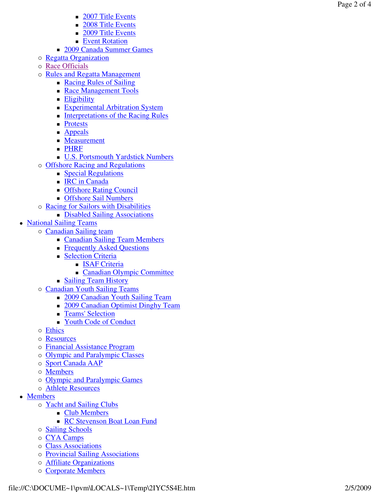- 2007 Title Events
- 2008 Title Events
- 2009 Title Events
- **Event Rotation**
- **2009 Canada Summer Games**
- o Regatta Organization
- o Race Officials
- o Rules and Regatta Management
	- Racing Rules of Sailing
	- Race Management Tools
	- **Eligibility**
	- **Experimental Arbitration System**
	- **Interpretations of the Racing Rules**
	- **Protests**
	- **Appeals**
	- **Measurement**
	- **PHRF**
	- U.S. Portsmouth Yardstick Numbers
- o Offshore Racing and Regulations
	- **Special Regulations**
	- **IRC** in Canada
	- **COLLEGE** Council
	- **Configure Sail Numbers**
- o Racing for Sailors with Disabilities
	- Disabled Sailing Associations
- National Sailing Teams
	- o Canadian Sailing team
		- **Canadian Sailing Team Members**
		- **Figure 4** Frequently Asked Questions
		- **Selection Criteria** 
			- **ISAF Criteria**
			- Canadian Olympic Committee
		- **Sailing Team History**
	- o Canadian Youth Sailing Teams
		- 2009 Canadian Youth Sailing Team
		- 2009 Canadian Optimist Dinghy Team
		- **Teams' Selection**
		- Youth Code of Conduct
	- o Ethics
	- o Resources
	- o Financial Assistance Program
	- o Olympic and Paralympic Classes
	- o Sport Canada AAP
	- o **Members**
	- o Olympic and Paralympic Games
	- o **Athlete Resources**
- Members
	- o Yacht and Sailing Clubs
		- **Club Members**
		- **RC Stevenson Boat Loan Fund**
	- o **Sailing Schools**
	- o CYA Camps
	- o Class Associations
	- o Provincial Sailing Associations
	- o **Affiliate Organizations**
	- o Corporate Members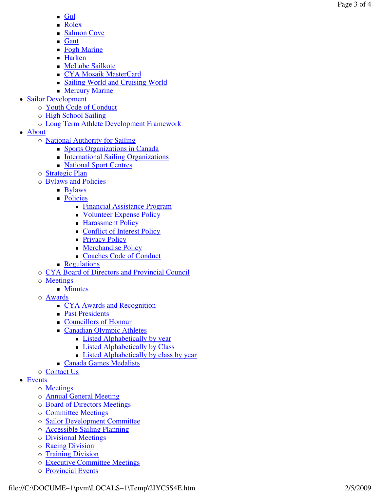- $\blacksquare$  Gul
- **Rolex**
- Salmon Cove
- **Gant**
- Fogh Marine
- Harken
- **McLube Sailkote**
- CYA Mosaik MasterCard
- Sailing World and Cruising World
- **Mercury Marine**
- Sailor Development
	- o Youth Code of Conduct
	- o High School Sailing
	- o Long Term Athlete Development Framework
- About
	- o **National Authority for Sailing** 
		- Sports Organizations in Canada
		- **International Sailing Organizations**
		- **National Sport Centres**
	- o **Strategic Plan**
	- o **Bylaws and Policies** 
		- **Bylaws**
		- **Policies** 
			- Financial Assistance Program
			- Volunteer Expense Policy
			- **Harassment Policy**
			- Conflict of Interest Policy
			- **Privacy Policy**
			- **Merchandise Policy**
			- Coaches Code of Conduct
		- **Regulations**
	- o CYA Board of Directors and Provincial Council
	- o Meetings
		- **Minutes**
	- o Awards
		- CYA Awards and Recognition
		- **Past Presidents**
		- Councillors of Honour
		- **Canadian Olympic Athletes** 
			- **Listed Alphabetically by year**
			- **Example 1** Listed Alphabetically by Class
			- **Listed Alphabetically by class by year**
		- **Canada Games Medalists**
	- o Contact Us
- Events
	- o **Meetings**
	- o **Annual General Meeting**
	- o Board of Directors Meetings
	- o **Committee Meetings**
	- o Sailor Development Committee
	- o **Accessible Sailing Planning**
	- o Divisional Meetings
	- o Racing Division
	- o Training Division
	- o Executive Committee Meetings
	- o Provincial Events